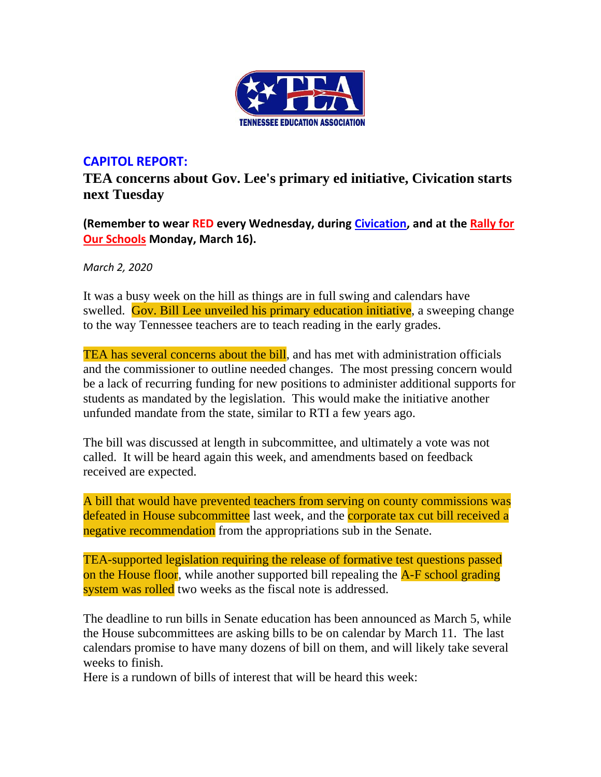

## **CAPITOL REPORT:**

**TEA concerns about Gov. Lee's primary ed initiative, Civication starts next Tuesday**

**(Remember to wear RED every Wednesday, during [Civication,](http://www.cvent.com/events/tea-civication/event-summary-fdfa814bfa504ffca38728d033d96363.aspx) and at the [Rally for](http://www.teateachers.org/rally)  [Our Schools](http://www.teateachers.org/rally) Monday, March 16).**

*March 2, 2020*

It was a busy week on the hill as things are in full swing and calendars have swelled. Gov. Bill Lee unveiled his primary education initiative, a sweeping change to the way Tennessee teachers are to teach reading in the early grades.

TEA has several concerns about the bill, and has met with administration officials and the commissioner to outline needed changes. The most pressing concern would be a lack of recurring funding for new positions to administer additional supports for students as mandated by the legislation. This would make the initiative another unfunded mandate from the state, similar to RTI a few years ago.

The bill was discussed at length in subcommittee, and ultimately a vote was not called. It will be heard again this week, and amendments based on feedback received are expected.

A bill that would have prevented teachers from serving on county commissions was defeated in House subcommittee last week, and the corporate tax cut bill received a negative recommendation from the appropriations sub in the Senate.

TEA-supported legislation requiring the release of formative test questions passed on the House floor, while another supported bill repealing the A-F school grading system was rolled two weeks as the fiscal note is addressed.

The deadline to run bills in Senate education has been announced as March 5, while the House subcommittees are asking bills to be on calendar by March 11. The last calendars promise to have many dozens of bill on them, and will likely take several weeks to finish.

Here is a rundown of bills of interest that will be heard this week: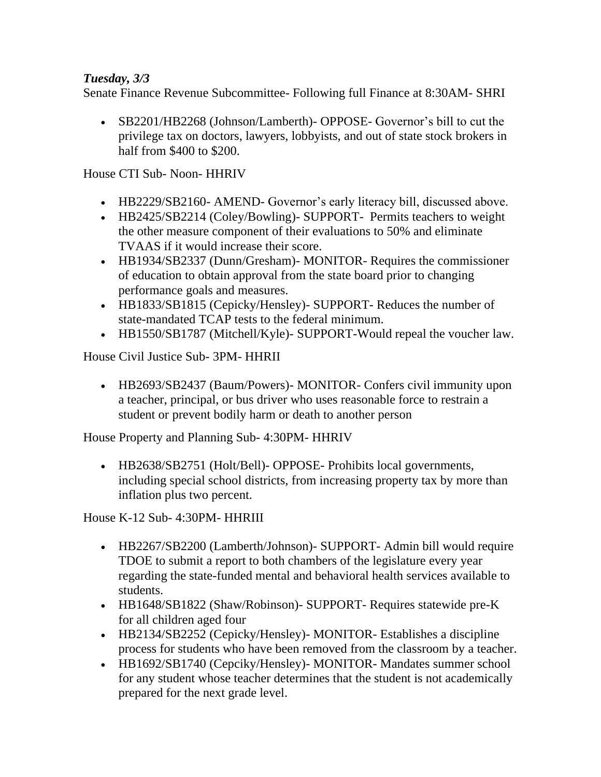### *Tuesday, 3/3*

Senate Finance Revenue Subcommittee- Following full Finance at 8:30AM- SHRI

• SB2201/HB2268 (Johnson/Lamberth) - OPPOSE- Governor's bill to cut the privilege tax on doctors, lawyers, lobbyists, and out of state stock brokers in half from \$400 to \$200.

House CTI Sub- Noon- HHRIV

- HB2229/SB2160- AMEND- Governor's early literacy bill, discussed above.
- HB2425/SB2214 (Coley/Bowling) SUPPORT- Permits teachers to weight the other measure component of their evaluations to 50% and eliminate TVAAS if it would increase their score.
- HB1934/SB2337 (Dunn/Gresham) MONITOR- Requires the commissioner of education to obtain approval from the state board prior to changing performance goals and measures.
- HB1833/SB1815 (Cepicky/Hensley) SUPPORT Reduces the number of state-mandated TCAP tests to the federal minimum.
- HB1550/SB1787 (Mitchell/Kyle)- SUPPORT-Would repeal the voucher law.

House Civil Justice Sub- 3PM- HHRII

• HB2693/SB2437 (Baum/Powers) - MONITOR - Confers civil immunity upon a teacher, principal, or bus driver who uses reasonable force to restrain a student or prevent bodily harm or death to another person

House Property and Planning Sub- 4:30PM- HHRIV

• HB2638/SB2751 (Holt/Bell)- OPPOSE- Prohibits local governments, including special school districts, from increasing property tax by more than inflation plus two percent.

House K-12 Sub- 4:30PM- HHRIII

- HB2267/SB2200 (Lamberth/Johnson)- SUPPORT- Admin bill would require TDOE to submit a report to both chambers of the legislature every year regarding the state-funded mental and behavioral health services available to students.
- HB1648/SB1822 (Shaw/Robinson) SUPPORT Requires statewide pre-K for all children aged four
- HB2134/SB2252 (Cepicky/Hensley)- MONITOR- Establishes a discipline process for students who have been removed from the classroom by a teacher.
- HB1692/SB1740 (Cepciky/Hensley) MONITOR Mandates summer school for any student whose teacher determines that the student is not academically prepared for the next grade level.